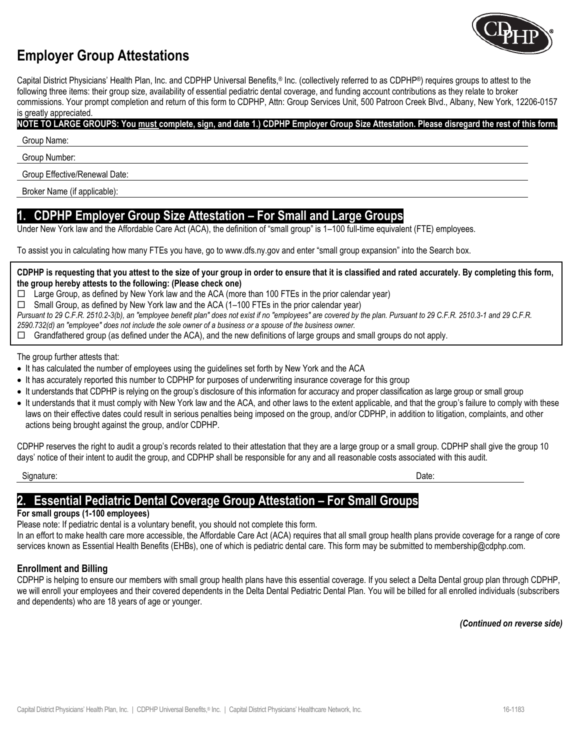

# **Employer Group Attestations**

Capital District Physicians' Health Plan, Inc. and CDPHP Universal Benefits,® Inc. (collectively referred to as CDPHP®) requires groups to attest to the following three items: their group size, availability of essential pediatric dental coverage, and funding account contributions as they relate to broker commissions. Your prompt completion and return of this form to CDPHP, Attn: Group Services Unit, 500 Patroon Creek Blvd., Albany, New York, 12206-0157 is greatly appreciated.

# **NOTE TO LARGE GROUPS: You must complete, sign, and date 1.) CDPHP Employer Group Size Attestation. Please disregard the rest of this form.**

Group Name:

Group Number:

Group Effective/Renewal Date:

Broker Name (if applicable):

# **1. CDPHP Employer Group Size Attestation – For Small and Large Groups**

Under New York law and the Affordable Care Act (ACA), the definition of "small group" is 1–100 full-time equivalent (FTE) employees.

To assist you in calculating how many FTEs you have, go to www.dfs.ny.gov and enter "small group expansion" into the Search box.

#### **CDPHP is requesting that you attest to the size of your group in order to ensure that it is classified and rated accurately. By completing this form, the group hereby attests to the following: (Please check one)**

 $\Box$  Large Group, as defined by New York law and the ACA (more than 100 FTEs in the prior calendar year)

 $\Box$  Small Group, as defined by New York law and the ACA (1–100 FTEs in the prior calendar year)

*Pursuant to 29 C.F.R. 2510.2-3(b), an "employee benefit plan" does not exist if no "employees" are covered by the plan. Pursuant to 29 C.F.R. 2510.3-1 and 29 C.F.R.* 

*2590.732(d) an "employee" does not include the sole owner of a business or a spouse of the business owner.*

 $\Box$  Grandfathered group (as defined under the ACA), and the new definitions of large groups and small groups do not apply.

The group further attests that:

- It has calculated the number of employees using the guidelines set forth by New York and the ACA
- It has accurately reported this number to CDPHP for purposes of underwriting insurance coverage for this group
- It understands that CDPHP is relying on the group's disclosure of this information for accuracy and proper classification as large group or small group
- It understands that it must comply with New York law and the ACA, and other laws to the extent applicable, and that the group's failure to comply with these laws on their effective dates could result in serious penalties being imposed on the group, and/or CDPHP, in addition to litigation, complaints, and other actions being brought against the group, and/or CDPHP.

CDPHP reserves the right to audit a group's records related to their attestation that they are a large group or a small group. CDPHP shall give the group 10 days' notice of their intent to audit the group, and CDPHP shall be responsible for any and all reasonable costs associated with this audit.

Signature: Date:

# **2. Essential Pediatric Dental Coverage Group Attestation – For Small Groups**

### **For small groups (1-100 employees)**

Please note: If pediatric dental is a voluntary benefit, you should not complete this form.

In an effort to make health care more accessible, the Affordable Care Act (ACA) requires that all small group health plans provide coverage for a range of core services known as Essential Health Benefits (EHBs), one of which is pediatric dental care. This form may be submitted to membership@cdphp.com.

## **Enrollment and Billing**

CDPHP is helping to ensure our members with small group health plans have this essential coverage. If you select a Delta Dental group plan through CDPHP, we will enroll your employees and their covered dependents in the Delta Dental Pediatric Dental Plan. You will be billed for all enrolled individuals (subscribers and dependents) who are 18 years of age or younger.

*(Continued on reverse side)*